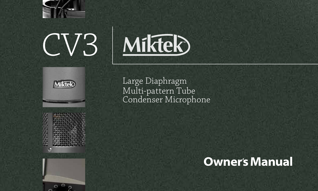





| ı<br>× |  |
|--------|--|
|        |  |
|        |  |
|        |  |
|        |  |
|        |  |
|        |  |

 $\circ$  $\circ$ 

Large Diaphragm Multi-pattern Tube Condenser Microphone

# **Owner's Manual**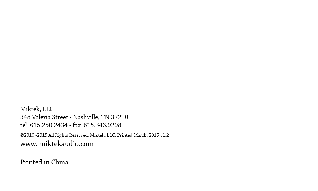Miktek, LLC 348 Valeria Street • Nashville, TN 37210 tel 615.250.2434 • fax 615.346.9298 ©2010 -2015 All Rights Reserved, Miktek, LLC. Printed March, 2015 v1.2 www. miktekaudio.com

Printed in China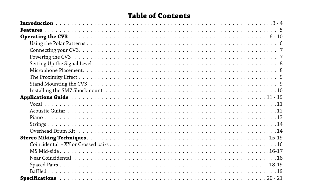### **Table of Contents**

| Near Coincidental responses in the series of the series of the series of the series of the Nearly Discovery of |
|----------------------------------------------------------------------------------------------------------------|
|                                                                                                                |
|                                                                                                                |
|                                                                                                                |
|                                                                                                                |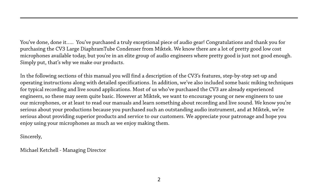You've done, done it….. You've purchased a truly exceptional piece of audio gear! Congratulations and thank you for purchasing the CV3 Large DiaphramTube Condenser from Miktek. We know there are a lot of pretty good low cost microphones available today, but you're in an elite group of audio engineers where pretty good is just not good enough. Simply put, that's why we make our products.

In the following sections of this manual you will find a description of the CV3's features, step-by-step set-up and operating instructions along with detailed specifications. In addition, we've also included some basic miking techniques for typical recording and live sound applications. Most of us who've purchased the CV3 are already experienced engineers, so these may seem quite basic. However at Miktek, we want to encourage young or new engineers to use our microphones, or at least to read our manuals and learn something about recording and live sound. We know you're serious about your productions because you purchased such an outstanding audio instrument, and at Miktek, we're serious about providing superior products and service to our customers. We appreciate your patronage and hope you enjoy using your microphones as much as we enjoy making them.

Sincerely,

Michael Ketchell - Managing Director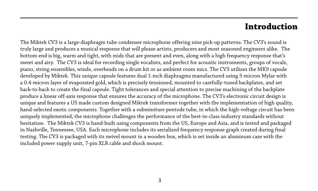### **Introduction**

The Miktek CV3 is a large-diaphragm tube condenser microphone offering nine pick-up patterns. The CV3's sound is truly large and produces a musical response that will please artists, producers and most seasoned engineers alike. The bottom end is big, warm and tight, with mids that are present and even, along with a high frequency response that's sweet and airy. The CV3 is ideal for recording single vocalists, and perfect for acoustic instruments, groups of vocals, piano, string ensembles, winds, overheads on a drum kit or as ambient room mics. The CV3 utilizes the MK9 capsule developed by Miktek. This unique capsule features dual 1-inch diaphragms manufactured using 5-micron Mylar with a 0.4-micron layer of evaporated gold, which is precisely tensioned, mounted to carefully-tuned backplates, and set back-to-back to create the final capsule. Tight tolerances and special attention to precise machining of the backplate produce a linear off-axis response that ensures the accuracy of the microphone. The CV3's electronic circuit design is unique and features a US made custom designed Miktek transformer together with the implementation of high quality, hand-selected exotic components. Together with a subminiture pentode tube, in which the high-voltage circuit has been uniquely implemented, the microphone challenges the performance of the best-in-class industry standards without hesitation. The Miktek CV3 is hand-built using components from the US, Europe and Asia, and is tested and packaged in Nashville, Tennessee, USA. Each microphone includes its serialized frequency response graph created during final testing. The CV3 is packaged with its swivel mount in a wooden box, which is set inside an aluminum case with the included power supply unit, 7-pin XLR cable and shock mount.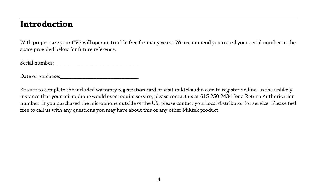### **Introduction**

With proper care your CV3 will operate trouble free for many years. We recommend you record your serial number in the space provided below for future reference.

Serial number:

Date of purchase:\_\_\_\_\_\_\_\_\_\_\_\_\_\_\_\_\_\_\_\_\_\_\_\_\_\_\_\_

Be sure to complete the included warranty registration card or visit miktekaudio.com to register on line. In the unlikely instance that your microphone would ever require service, please contact us at 615 250 2434 for a Return Authorization number. If you purchased the microphone outside of the US, please contact your local distributor for service. Please feel free to call us with any questions you may have about this or any other Miktek product.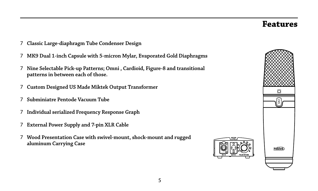### **Features**

- **Classic Large-diaphragm Tube Condenser Design**
- **MK9 Dual 1-inch Capsule with 5-micron Mylar, Evaporated Gold Diaphragms**
- **Nine Selectable Pick-up Patterns; Omni , Cardioid, Figure-8 and transitional patterns in between each of those.**
- **Custom Designed US Made Miktek Output Transformer**
- **Subminiatre Pentode Vacuum Tube**
- **Individual serialized Frequency Response Graph**
- **External Power Supply and 7-pin XLR Cable**
- **Wood Presentation Case with swivel-mount, shock-mount and rugged aluminum Carrying Case**

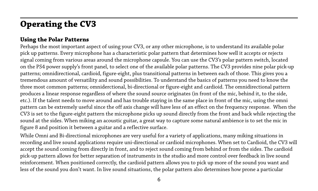### **Using the Polar Patterns**

Perhaps the most important aspect of using your CV3, or any other microphone, is to understand its available polar pick up patterns. Every microphone has a characteristic polar pattern that determines how well it accepts or rejects signal coming from various areas around the microphone capsule. You can use the CV3's polar pattern switch, located on the PS4 power supply's front panel, to select one of the available polar patterns. The CV3 provides nine polar pick-up patterns; omnidirectional, cardioid, figure-eight, plus transitional patterns in between each of those. This gives you a tremendous amount of versatility and sound possibilities. To understand the basics of patterns you need to know the three most common patterns; omniderctional, bi-directional or figure-eight and cardioid. The omnidirectional pattern produces a linear response regardless of where the sound source originates (in front of the mic, behind it, to the side, etc.). If the talent needs to move around and has trouble staying in the same place in front of the mic, using the omni pattern can be extremely useful since the off axis change will have less of an effect on the frequency response. When the CV3 is set to the figure-eight pattern the microphone picks up sound directly from the front and back while rejecting the sound at the sides. When miking an acoustic guitar, a great way to capture some natural ambience is to set the mic in figure 8 and position it between a guitar and a reflective surface.

While Omni and Bi-directional microphones are very useful for a variety of applications, many miking situations in recording and live sound applications require uni-directional or cardioid microphones. When set to Cardioid, the CV3 will accept the sound coming from directly in front, and to reject sound coming from behind or from the sides. The cardioid pick-up pattern allows for better separation of instruments in the studio and more control over feedback in live sound reinforcement. When positioned correctly, the cardioid pattern allows you to pick up more of the sound you want and less of the sound you don't want. In live sound situations, the polar pattern also determines how prone a particular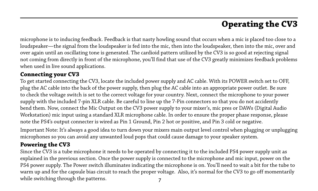microphone is to inducing feedback. Feedback is that nasty howling sound that occurs when a mic is placed too close to a loudspeaker—the signal from the loudspeaker is fed into the mic, then into the loudspeaker, then into the mic, over and over again until an oscillating tone is generated. The cardioid pattern utilized by the CV3 is so good at rejecting signal not coming from directly in front of the microphone, you'll find that use of the CV3 greatly minimizes feedback problems when used in live sound applications.

### **Connecting your CV3**

To get started connecting the CV3, locate the included power supply and AC cable. With its POWER switch set to OFF, plug the AC cable into the back of the power supply, then plug the AC cable into an appropriate power outlet. Be sure to check the voltage switch is set to the correct voltage for your country. Next, connect the microphone to your power supply with the included 7-pin XLR cable. Be careful to line up the 7-Pin connectors so that you do not accidently bend them. Now, connect the Mic Output on the CV3 power supply to your mixer's, mic pres or DAWs (Digital Audio Workstation) mic input using a standard XLR microphone cable. In order to ensure the proper phase response, please note the PS4's output connecter is wired as Pin 1 Ground, Pin 2 hot or positive, and Pin 3 cold or negative.

Important Note: It's always a good idea to turn down your mixers main output level control when plugging or unplugging microphones so you can avoid any unwanted loud pops that could cause damage to your speaker system.

### **Powering the CV3**

7 Since the CV3 is a tube microphone it needs to be operated by connecting it to the included PS4 power supply unit as explained in the previous section. Once the power supply is connected to the microphone and mic input, power on the PS4 power supply. The Power switch illuminates indicating the microphone is on. You'll need to wait a bit for the tube to warm up and for the capsule bias circuit to reach the proper voltage. Also, it's normal for the CV3 to go off momentarily while switching through the patterns.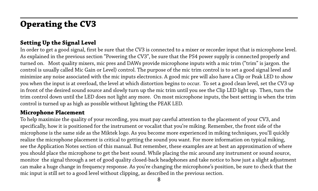### **Setting Up the Signal Level**

In order to get a good signal, first be sure that the CV3 is connected to a mixer or recorder input that is microphone level. As explained in the previous section "Powering the CV3", be sure that the PS4 power supply is connected properly and turned on. Most quality mixers, mic pres and DAWs provide microphone inputs with a mic trim ("trim" is jargon, the control is usually called Mic Gain or Level) control. The purpose of the mic trim control is to set a good signal level and minimize any noise associated with the mic inputs electronics. A good mic pre will also have a Clip or Peak LED to show you when the input is at overload, the level at which distortion begins to occur. To set a good clean level, set the CV3 up in front of the desired sound source and slowly turn up the mic trim until you see the Clip LED light up. Then, turn the trim control down until the LED does not light any more. On most microphone inputs, the best setting is when the trim control is turned up as high as possible without lighting the PEAK LED.

### **Microphone Placement**

To help maximize the quality of your recording, you must pay careful attention to the placement of your CV3, and specifically, how it is positioned for the instrument or vocalist that you're miking. Remember, the front side of the microphone is the same side as the Miktek logo. As you become more experienced in miking techniques, you'll quickly realize the microphone placement is critical to getting the sound you want. For more information on typical miking, see the Application Notes section of this manual. But remember, these examples are at best an approximation of where you should place the microphone to get the best sound. While placing the mic around any instrument or sound source, monitor the signal through a set of good quality closed-back headphones and take notice to how just a slight adjustment can make a huge change in frequency response. As you're changing the microphone's position, be sure to check that the mic input is still set to a good level without clipping, as described in the previous section.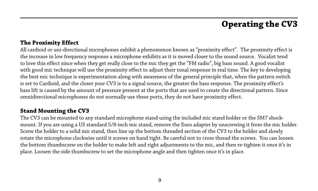#### **The Proximity Effect**

All cardioid or uni-directional microphones exhibit a phenomenon known as "proximity effect". The proximity effect is the increase in low frequency response a microphone exhibits as it is moved closer to the sound source. Vocalist tend to love this effect since when they get really close to the mic they get the "FM radio", big bass sound. A good vocalist with good mic technique will use the proximity effect to adjust their tonal response in real time. The key to developing the best mic technique is experimentation along with awareness of the general principle that, when the pattern switch is set to Cardioid, and the closer your CV3 is to a signal source, the greater the bass response. The proximity effect's bass lift is caused by the amount of pressure present at the ports that are used to create the directional pattern. Since omnidirectional microphones do not normally use these ports, they do not have proximity effect.

#### **Stand Mounting the CV3**

The CV3 can be mounted to any standard microphone stand using the included mic stand holder or the SM7 shockmount. If you are using a US standard 5/8-inch mic stand, remove the Euro adapter by unscrewing it from the mic holder. Screw the holder to a solid mic stand, then line up the bottom threaded section of the CV3 to the holder and slowly rotate the microphone clockwise until it screws on hand tight. Be careful not to cross thread the screws. You can loosen the bottom thumbscrew on the holder to make left and right adjustments to the mic, and then re-tighten it once it's in place. Loosen the side thumbscrew to set the microphone angle and then tighten once it's in place.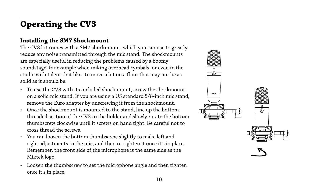### **Installing the SM7 Shockmount**

The CV3 kit comes with a SM7 shockmount, which you can use to greatly reduce any noise transmitted through the mic stand. The shockmounts are especially useful in reducing the problems caused by a boomy soundstage; for example when miking overhead cymbals, or even in the studio with talent that likes to move a lot on a floor that may not be as solid as it should be.

- To use the CV3 with its included shockmount, screw the shockmount on a solid mic stand. If you are using a US standard 5/8-inch mic stand, remove the Euro adapter by unscrewing it from the shockmount.
- Once the shockmount is mounted to the stand, line up the bottom threaded section of the CV3 to the holder and slowly rotate the bottom thumbscrew clockwise until it screws on hand tight. Be careful not to cross thread the screws.
- You can loosen the bottom thumbscrew slightly to make left and right adjustments to the mic, and then re-tighten it once it's in place. Remember, the front side of the microphone is the same side as the Miktek logo.
- Loosen the thumbscrew to set the microphone angle and then tighten once it's in place.

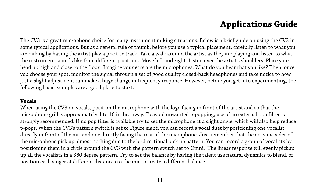The CV3 is a great microphone choice for many instrument miking situations. Below is a brief guide on using the CV3 in some typical applications. But as a general rule of thumb, before you use a typical placement, carefully listen to what you are miking by having the artist play a practice track. Take a walk around the artist as they are playing and listen to what the instrument sounds like from different positions. Move left and right. Listen over the artist's shoulders. Place your head up high and close to the floor. Imagine your ears are the microphones. What do you hear that you like? Then, once you choose your spot, monitor the signal through a set of good quality closed-back headphones and take notice to how just a slight adjustment can make a huge change in frequency response. However, before you get into experimenting, the following basic examples are a good place to start.

#### **Vocals**

When using the CV3 on vocals, position the microphone with the logo facing in front of the artist and so that the microphone grill is approximately 4 to 10 inches away. To avoid unwanted p-popping, use of an external pop filter is strongly recommended. If no pop filter is available try to set the microphone at a slight angle, which will also help reduce p-pops. When the CV3's pattern switch is set to Figure eight, you can record a vocal duet by positioning one vocalist directly in front of the mic and one directly facing the rear of the microphone. Just remember that the extreme sides of the microphone pick up almost nothing due to the bi-directional pick up pattern. You can record a group of vocalists by positioning them in a circle around the CV3 with the pattern switch set to Omni. The linear response will evenly pickup up all the vocalists in a 360 degree pattern. Try to set the balance by having the talent use natural dynamics to blend, or position each singer at different distances to the mic to create a different balance.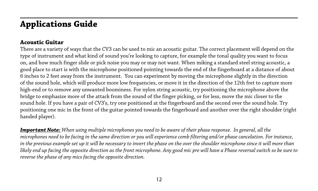#### **Acoustic Guitar**

There are a variety of ways that the CV3 can be used to mic an acoustic guitar. The correct placement will depend on the type of instrument and what kind of sound you're looking to capture, for example the tonal quality you want to focus on, and how much finger slide or pick noise you may or may not want. When miking a standard steel string acoustic, a good place to start is with the microphone positioned pointing towards the end of the fingerboard at a distance of about 6 inches to 2 feet away from the instrument. You can experiment by moving the microphone slightly in the direction of the sound hole, which will produce more low frequencies, or move it in the direction of the 12th fret to capture more high-end or to remove any unwanted boominess. For nylon string acoustic, try positioning the microphone above the bridge to emphasize more of the attack from the sound of the finger picking, or for less, move the mic closer to the sound hole. If you have a pair of CV3's, try one positioned at the fingerboard and the second over the sound hole. Try positioning one mic in the front of the guitar pointed towards the fingerboard and another over the right shoulder (right handed player).

*Important Note: When using multiple microphones you need to be aware of their phase response. In general, all the microphones need to be facing in the same direction or you will experience comb filtering and/or phase cancelation. For instance, in the previous example set up it will be necessary to invert the phase on the over the shoulder microphone since it will more than likely end up facing the opposite direction as the front microphone. Any good mic pre will have a Phase reversal switch so be sure to reverse the phase of any mics facing the opposite direction.*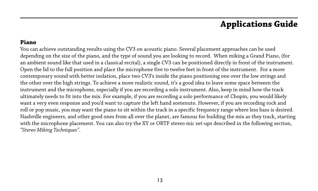#### **Piano**

You can achieve outstanding results using the CV3 on acoustic piano. Several placement approaches can be used depending on the size of the piano, and the type of sound you are looking to record. When miking a Grand Piano, (for an ambient sound like that used in a classical recital), a single CV3 can be positioned directly in front of the instrument. Open the lid to the full position and place the microphone five to twelve feet in front of the instrument. For a more contemporary sound with better isolation, place two CV3's inside the piano positioning one over the low strings and the other over the high strings. To achieve a more realistic sound, it's a good idea to leave some space between the instrument and the microphone, especially if you are recording a solo instrument. Also, keep in mind how the track ultimately needs to fit into the mix. For example, if you are recording a solo performance of Chopin, you would likely want a very even response and you'd want to capture the left hand sostenuto. However, if you are recording rock and roll or pop music, you may want the piano to sit within the track in a specific frequency range where less bass is desired. Nashville engineers, and other good ones from all over the planet, are famous for building the mix as they track, starting with the microphone placement. You can also try the XY or ORTF stereo mic set-ups described in the following section, *"Stereo Miking Techniques"*.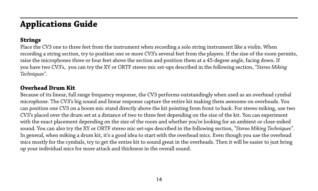### **Strings**

Place the CV3 one to three feet from the instrument when recording a solo string instrument like a violin. When recording a string section, try to position one or more CV3's several feet from the players. If the size of the room permits, raise the microphones three or four feet above the section and position them at a 45-degree angle, facing down. If you have two CV3's, you can try the XY or ORTF stereo mic set-ups described in the following section, *"Stereo Miking Techniques"*.

### **Overhead Drum Kit**

Because of its linear, full range frequency response, the CV3 performs outstandingly when used as an overhead cymbal microphone. The CV3's big sound and linear response capture the entire kit making them awesome on overheads. You can position one CV3 on a boom mic stand directly above the kit pointing from front to back. For stereo miking, use two CV3's placed over the drum set at a distance of two to three feet depending on the size of the kit. You can experiment with the exact placement depending on the size of the room and whether you're looking for an ambient or close-miked sound. You can also try the XY or ORTF stereo mic set-ups described in the following section, *"Stereo Miking Techniques"*. In general, when miking a drum kit, it's a good idea to start with the overhead mics. Even though you use the overhead mics mostly for the cymbals, try to get the entire kit to sound great in the overheads. Then it will be easier to just bring up your individual mics for more attack and thickness in the overall sound.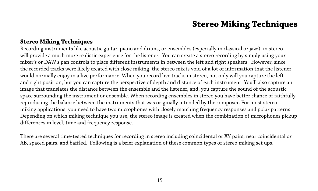#### **Stereo Miking Techniques**

Recording instruments like acoustic guitar, piano and drums, or ensembles (especially in classical or jazz), in stereo will provide a much more realistic experience for the listener. You can create a stereo recording by simply using your mixer's or DAW's pan controls to place different instruments in between the left and right speakers. However, since the recorded tracks were likely created with close miking, the stereo mix is void of a lot of information that the listener would normally enjoy in a live performance. When you record live tracks in stereo, not only will you capture the left and right position, but you can capture the perspective of depth and distance of each instrument. You'll also capture an image that translates the distance between the ensemble and the listener, and, you capture the sound of the acoustic space surrounding the instrument or ensemble. When recording ensembles in stereo you have better chance of faithfully reproducing the balance between the instruments that was originally intended by the composer. For most stereo miking applications, you need to have two microphones with closely matching frequency responses and polar patterns. Depending on which miking technique you use, the stereo image is created when the combination of microphones pickup differences in level, time and frequency response.

There are several time-tested techniques for recording in stereo including coincidental or XY pairs, near coincidental or AB, spaced pairs, and baffled. Following is a brief explanation of these common types of stereo miking set ups.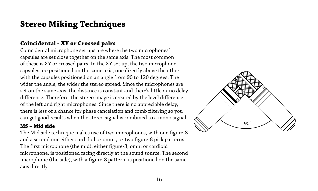### **Coincidental - XY or Crossed pairs**

Coincidental microphone set ups are where the two microphones' capsules are set close together on the same axis. The most common of these is XY or crossed pairs. In the XY set up, the two microphone capsules are positioned on the same axis, one directly above the other with the capsules positioned on an angle from 90 to 120 degrees. The wider the angle, the wider the stereo spread. Since the microphones are set on the same axis, the distance is constant and there's little or no delay difference. Therefore, the stereo image is created by the level difference of the left and right microphones. Since there is no appreciable delay, there is less of a chance for phase cancelation and comb filtering so you can get good results when the stereo signal is combined to a mono signal.

#### **MS – Mid side**

The Mid side technique makes use of two microphones, with one figure-8 and a second mic either cardidod or omni , or two figure-8 pick patterns. The first microphone (the mid), either figure-8, omni or cardioid microphone, is positioned facing directly at the sound source. The second microphone (the side), with a figure-8 pattern, is positioned on the same axis directly

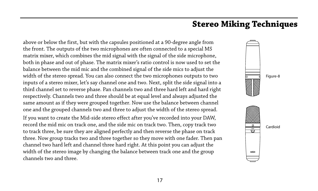above or below the first, but with the capsules positioned at a 90-degree angle from the front. The outputs of the two microphones are often connected to a special MS matrix mixer, which combines the mid signal with the signal of the side microphone, both in phase and out of phase. The matrix mixer's ratio control is now used to set the balance between the mid mic and the combined signal of the side mics to adjust the width of the stereo spread. You can also connect the two microphones outputs to two inputs of a stereo mixer, let's say channel one and two. Next, split the side signal into a third channel set to reverse phase. Pan channels two and three hard left and hard right respectively. Channels two and three should be at equal level and always adjusted the same amount as if they were grouped together. Now use the balance between channel one and the grouped channels two and three to adjust the width of the stereo spread. If you want to create the Mid-side stereo effect after you've recorded into your DAW, record the mid mic on track one, and the side mic on track two. Then, copy track two to track three, be sure they are aligned perfectly and then reverse the phase on track three. Now group tracks two and three together so they move with one fader. Then pan channel two hard left and channel three hard right. At this point you can adjust the width of the stereo image by changing the balance between track one and the group channels two and three.

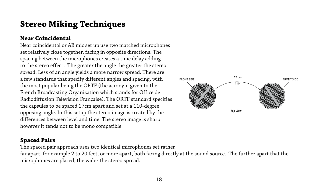### **Near Coincidental**

Near coincidental or AB mic set up use two matched microphones set relatively close together, facing in opposite directions. The spacing between the microphones creates a time delay adding to the stereo effect. The greater the angle the greater the stereo spread. Less of an angle yields a more narrow spread. There are a few standards that specify different angles and spacing, with the most popular being the ORTF (the acronym given to the French Broadcasting Organization which stands for Office de Radiodiffusion Television Française). The ORTF standard specifies the capsules to be spaced 17cm apart and set at a 110-degree opposing angle. In this setup the stereo image is created by the differences between level and time. The stereo image is sharp however it tends not to be mono compatible.



#### **Spaced Pairs**

The spaced pair approach uses two identical microphones set rather

far apart, for example 2 to 20 feet, or more apart, both facing directly at the sound source. The further apart that the microphones are placed, the wider the stereo spread.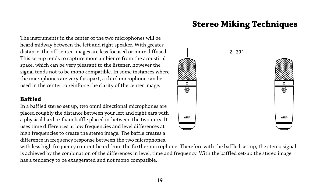The instruments in the center of the two microphones will be heard midway between the left and right speaker. With greater distance, the off center images are less focused or more diffused. This set-up tends to capture more ambience from the acoustical space, which can be very pleasant to the listener, however the signal tends not to be mono compatible. In some instances where the microphones are very far apart, a third microphone can be used in the center to reinforce the clarity of the center image.

### **Baffled**

In a baffled stereo set up, two omni directional microphones are placed roughly the distance between your left and right ears with a physical hard or foam baffle placed in-between the two mics. It uses time differences at low frequencies and level differences at high frequencies to create the stereo image. The baffle creates a difference in frequency response between the two microphones,



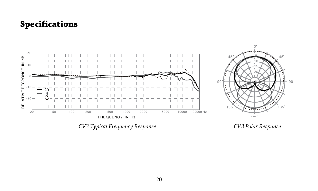# **Specifications**

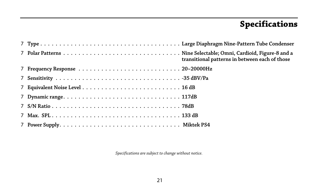# **Specifications**

|  | transitional patterns in between each of those |
|--|------------------------------------------------|
|  |                                                |
|  |                                                |
|  |                                                |
|  |                                                |
|  |                                                |
|  |                                                |
|  |                                                |

*Specifications are subject to change without notice.*